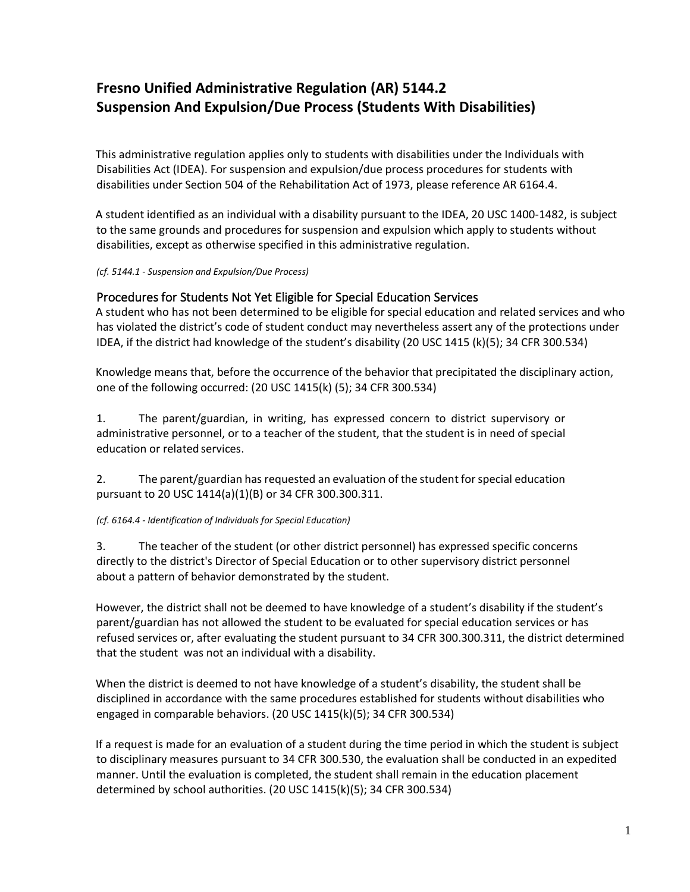# **Fresno Unified Administrative Regulation (AR) 5144.2 Suspension And Expulsion/Due Process (Students With Disabilities)**

This administrative regulation applies only to students with disabilities under the Individuals with Disabilities Act (IDEA). For suspension and expulsion/due process procedures for students with disabilities under Section 504 of the Rehabilitation Act of 1973, please reference AR 6164.4.

A student identified as an individual with a disability pursuant to the IDEA, 20 USC 1400-1482, is subject to the same grounds and procedures for suspension and expulsion which apply to students without disabilities, except as otherwise specified in this administrative regulation.

*(cf. 5144.1 - Suspension and Expulsion/Due Process)*

# Procedures for Students Not Yet Eligible for Special Education Services

A student who has not been determined to be eligible for special education and related services and who has violated the district's code of student conduct may nevertheless assert any of the protections under IDEA, if the district had knowledge of the student's disability (20 USC 1415 (k)(5); 34 CFR 300.534)

Knowledge means that, before the occurrence of the behavior that precipitated the disciplinary action, one of the following occurred: (20 USC 1415(k) (5); 34 CFR 300.534)

1. The parent/guardian, in writing, has expressed concern to district supervisory or administrative personnel, or to a teacher of the student, that the student is in need of special education or related services.

2. The parent/guardian has requested an evaluation of the student for special education pursuant to 20 USC 1414(a)(1)(B) or 34 CFR 300.300.311.

# *(cf. 6164.4 - Identification of Individuals for Special Education)*

3. The teacher of the student (or other district personnel) has expressed specific concerns directly to the district's Director of Special Education or to other supervisory district personnel about a pattern of behavior demonstrated by the student.

However, the district shall not be deemed to have knowledge of a student's disability if the student's parent/guardian has not allowed the student to be evaluated for special education services or has refused services or, after evaluating the student pursuant to 34 CFR 300.300.311, the district determined that the student was not an individual with a disability.

When the district is deemed to not have knowledge of a student's disability, the student shall be disciplined in accordance with the same procedures established for students without disabilities who engaged in comparable behaviors. (20 USC 1415(k)(5); 34 CFR 300.534)

If a request is made for an evaluation of a student during the time period in which the student is subject to disciplinary measures pursuant to 34 CFR 300.530, the evaluation shall be conducted in an expedited manner. Until the evaluation is completed, the student shall remain in the education placement determined by school authorities. (20 USC 1415(k)(5); 34 CFR 300.534)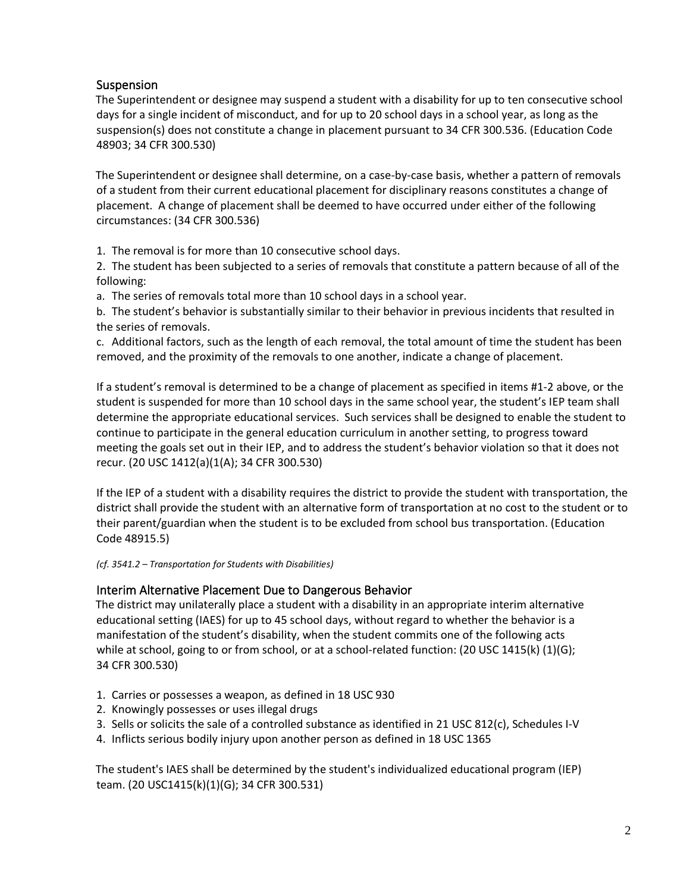# Suspension

The Superintendent or designee may suspend a student with a disability for up to ten consecutive school days for a single incident of misconduct, and for up to 20 school days in a school year, as long as the suspension(s) does not constitute a change in placement pursuant to 34 CFR 300.536. (Education Code 48903; 34 CFR 300.530)

The Superintendent or designee shall determine, on a case-by-case basis, whether a pattern of removals of a student from their current educational placement for disciplinary reasons constitutes a change of placement. A change of placement shall be deemed to have occurred under either of the following circumstances: (34 CFR 300.536)

1. The removal is for more than 10 consecutive school days.

2. The student has been subjected to a series of removals that constitute a pattern because of all of the following:

a. The series of removals total more than 10 school days in a school year.

b. The student's behavior is substantially similar to their behavior in previous incidents that resulted in the series of removals.

c. Additional factors, such as the length of each removal, the total amount of time the student has been removed, and the proximity of the removals to one another, indicate a change of placement.

If a student's removal is determined to be a change of placement as specified in items #1-2 above, or the student is suspended for more than 10 school days in the same school year, the student's IEP team shall determine the appropriate educational services. Such services shall be designed to enable the student to continue to participate in the general education curriculum in another setting, to progress toward meeting the goals set out in their IEP, and to address the student's behavior violation so that it does not recur. (20 USC 1412(a)(1(A); 34 CFR 300.530)

If the IEP of a student with a disability requires the district to provide the student with transportation, the district shall provide the student with an alternative form of transportation at no cost to the student or to their parent/guardian when the student is to be excluded from school bus transportation. (Education Code 48915.5)

*(cf. 3541.2 – Transportation for Students with Disabilities)* 

# Interim Alternative Placement Due to Dangerous Behavior

The district may unilaterally place a student with a disability in an appropriate interim alternative educational setting (IAES) for up to 45 school days, without regard to whether the behavior is a manifestation of the student's disability, when the student commits one of the following acts while at school, going to or from school, or at a school-related function: (20 USC 1415(k) (1)(G); 34 CFR 300.530)

- 1. Carries or possesses a weapon, as defined in 18 USC 930
- 2. Knowingly possesses or uses illegal drugs
- 3. Sells or solicits the sale of a controlled substance as identified in 21 USC 812(c), Schedules I-V
- 4. Inflicts serious bodily injury upon another person as defined in 18 USC 1365

The student's IAES shall be determined by the student's individualized educational program (IEP) team. (20 USC1415(k)(1)(G); 34 CFR 300.531)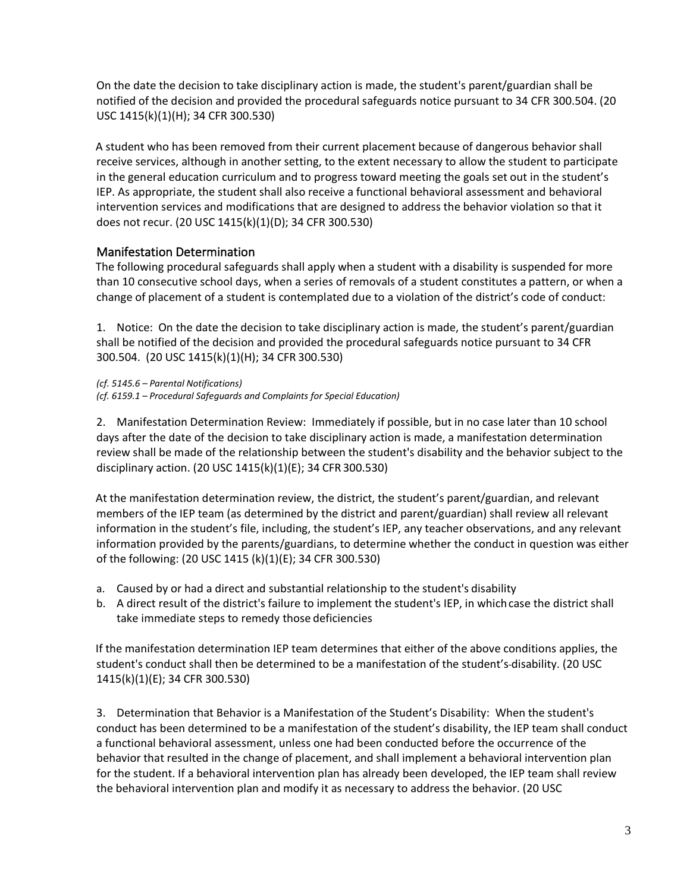On the date the decision to take disciplinary action is made, the student's parent/guardian shall be notified of the decision and provided the procedural safeguards notice pursuant to 34 CFR 300.504. (20 USC 1415(k)(1)(H); 34 CFR 300.530)

A student who has been removed from their current placement because of dangerous behavior shall receive services, although in another setting, to the extent necessary to allow the student to participate in the general education curriculum and to progress toward meeting the goals set out in the student's IEP. As appropriate, the student shall also receive a functional behavioral assessment and behavioral intervention services and modifications that are designed to address the behavior violation so that it does not recur. (20 USC 1415(k)(1)(D); 34 CFR 300.530)

# Manifestation Determination

The following procedural safeguards shall apply when a student with a disability is suspended for more than 10 consecutive school days, when a series of removals of a student constitutes a pattern, or when a change of placement of a student is contemplated due to a violation of the district's code of conduct:

1. Notice: On the date the decision to take disciplinary action is made, the student's parent/guardian shall be notified of the decision and provided the procedural safeguards notice pursuant to 34 CFR 300.504. (20 USC 1415(k)(1)(H); 34 CFR 300.530)

*(cf. 5145.6 – Parental Notifications) (cf. 6159.1 – Procedural Safeguards and Complaints for Special Education)*

2. Manifestation Determination Review: Immediately if possible, but in no case later than 10 school days after the date of the decision to take disciplinary action is made, a manifestation determination review shall be made of the relationship between the student's disability and the behavior subject to the disciplinary action. (20 USC 1415(k)(1)(E); 34 CFR 300.530)

At the manifestation determination review, the district, the student's parent/guardian, and relevant members of the IEP team (as determined by the district and parent/guardian) shall review all relevant information in the student's file, including, the student's IEP, any teacher observations, and any relevant information provided by the parents/guardians, to determine whether the conduct in question was either of the following: (20 USC 1415 (k)(1)(E); 34 CFR 300.530)

- a. Caused by or had a direct and substantial relationship to the student's disability
- b. A direct result of the district's failure to implement the student's IEP, in whichcase the district shall take immediate steps to remedy those deficiencies

If the manifestation determination IEP team determines that either of the above conditions applies, the student's conduct shall then be determined to be a manifestation of the student's-disability. (20 USC 1415(k)(1)(E); 34 CFR 300.530)

3. Determination that Behavior is a Manifestation of the Student's Disability: When the student's conduct has been determined to be a manifestation of the student's disability, the IEP team shall conduct a functional behavioral assessment, unless one had been conducted before the occurrence of the behavior that resulted in the change of placement, and shall implement a behavioral intervention plan for the student. If a behavioral intervention plan has already been developed, the IEP team shall review the behavioral intervention plan and modify it as necessary to address the behavior. (20 USC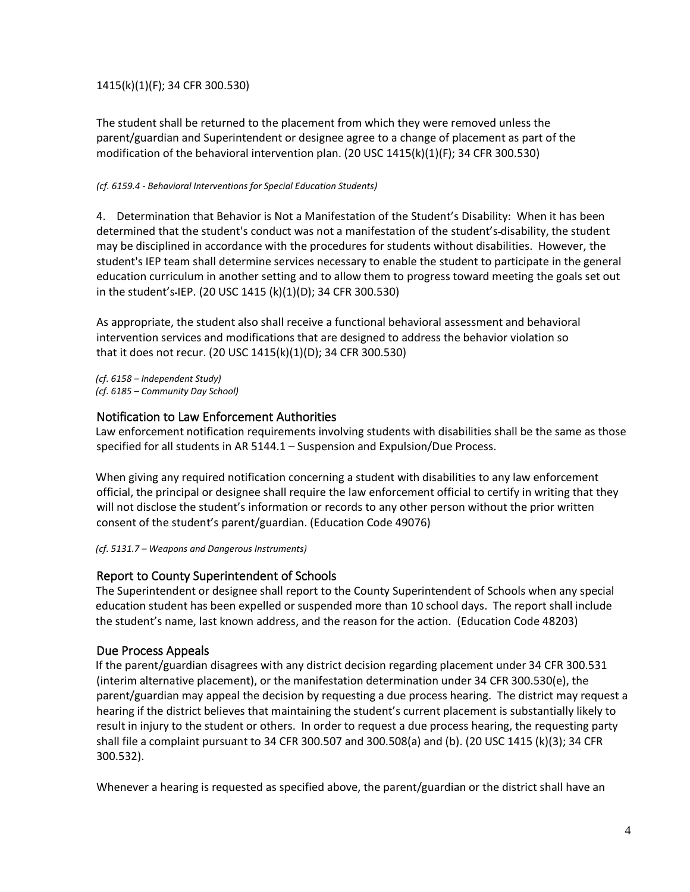# 1415(k)(1)(F); 34 CFR 300.530)

The student shall be returned to the placement from which they were removed unless the parent/guardian and Superintendent or designee agree to a change of placement as part of the modification of the behavioral intervention plan. (20 USC 1415(k)(1)(F); 34 CFR 300.530)

#### *(cf. 6159.4 - Behavioral Interventions for Special Education Students)*

4. Determination that Behavior is Not a Manifestation of the Student's Disability: When it has been determined that the student's conduct was not a manifestation of the student's disability, the student may be disciplined in accordance with the procedures for students without disabilities. However, the student's IEP team shall determine services necessary to enable the student to participate in the general education curriculum in another setting and to allow them to progress toward meeting the goals set out in the student's IEP. (20 USC 1415 (k)(1)(D); 34 CFR 300.530)

As appropriate, the student also shall receive a functional behavioral assessment and behavioral intervention services and modifications that are designed to address the behavior violation so that it does not recur. (20 USC 1415(k)(1)(D); 34 CFR 300.530)

*(cf. 6158 – Independent Study) (cf. 6185 – Community Day School)* 

# Notification to Law Enforcement Authorities

Law enforcement notification requirements involving students with disabilities shall be the same as those specified for all students in AR 5144.1 – Suspension and Expulsion/Due Process.

When giving any required notification concerning a student with disabilities to any law enforcement official, the principal or designee shall require the law enforcement official to certify in writing that they will not disclose the student's information or records to any other person without the prior written consent of the student's parent/guardian. (Education Code 49076)

*(cf. 5131.7 – Weapons and Dangerous Instruments)*

# Report to County Superintendent of Schools

The Superintendent or designee shall report to the County Superintendent of Schools when any special education student has been expelled or suspended more than 10 school days. The report shall include the student's name, last known address, and the reason for the action. (Education Code 48203)

# Due Process Appeals

If the parent/guardian disagrees with any district decision regarding placement under 34 CFR 300.531 (interim alternative placement), or the manifestation determination under 34 CFR 300.530(e), the parent/guardian may appeal the decision by requesting a due process hearing. The district may request a hearing if the district believes that maintaining the student's current placement is substantially likely to result in injury to the student or others. In order to request a due process hearing, the requesting party shall file a complaint pursuant to 34 CFR 300.507 and 300.508(a) and (b). (20 USC 1415 (k)(3); 34 CFR 300.532).

Whenever a hearing is requested as specified above, the parent/guardian or the district shall have an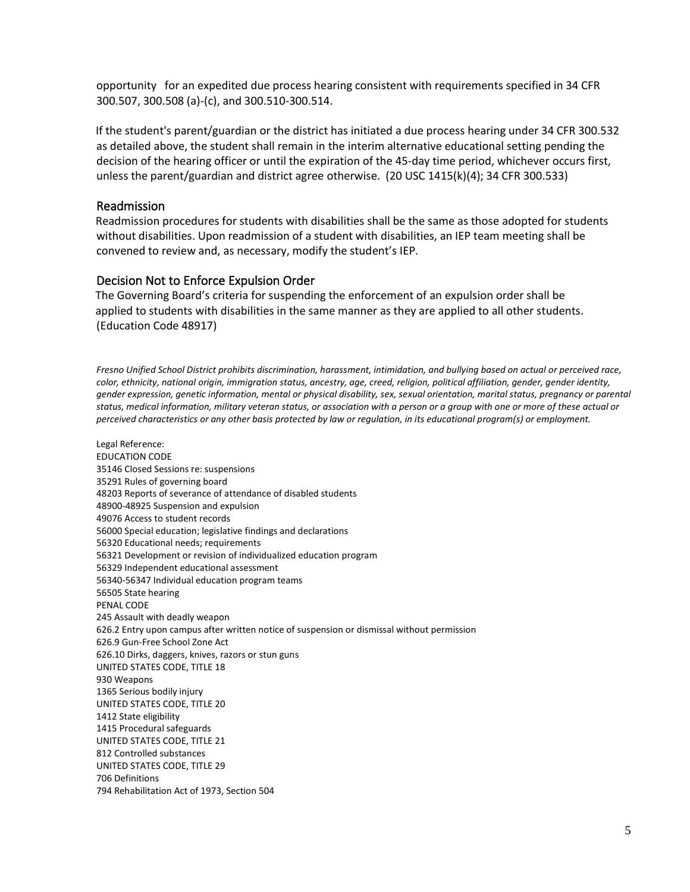opportunity for an expedited due process hearing consistent with requirements specified in 34 CFR 300.507, 300.508 (a)-(c), and 300.510-300.514.

If the student's parent/guardian or the district has initiated a due process hearing under 34 CFR 300.532 as detailed above, the student shall remain in the interim alternative educational setting pending the decision of the hearing officer or until the expiration of the 45-day time period, whichever occurs first, unless the parent/guardian and district agree otherwise. (20 USC 1415(k)(4); 34 CFR 300.533)

### Readmission

Readmission procedures for students with disabilities shall be the same as those adopted for students without disabilities. Upon readmission of a student with disabilities, an IEP team meeting shall be convened to review and, as necessary, modify the student's IEP.

### Decision Not to Enforce Expulsion Order

The Governing Board's criteria for suspending the enforcement of an expulsion order shall be applied to students with disabilities in the same manner as they are applied to all other students. (Education Code 48917)

*Fresno Unified School District prohibits discrimination, harassment, intimidation, and bullying based on actual or perceived race, color, ethnicity, national origin, immigration status, ancestry, age, creed, religion, political affiliation, gender, gender identity, gender expression, genetic information, mental or physical disability, sex, sexual orientation, marital status, pregnancy or parental status, medical information, military veteran status, or association with a person or a group with one or more of these actual or perceived characteristics or any other basis protected by law or regulation, in its educational program(s) or employment.*

Legal Reference: EDUCATION CODE 35146 Closed Sessions re: suspensions 35291 Rules of governing board 48203 Reports of severance of attendance of disabled students 48900-48925 Suspension and expulsion 49076 Access to student records 56000 Special education; legislative findings and declarations 56320 Educational needs; requirements 56321 Development or revision of individualized education program 56329 Independent educational assessment 56340-56347 Individual education program teams 56505 State hearing PENAL CODE 245 Assault with deadly weapon 626.2 Entry upon campus after written notice of suspension or dismissal without permission 626.9 Gun-Free School Zone Act 626.10 Dirks, daggers, knives, razors or stun guns UNITED STATES CODE, TITLE 18 930 Weapons 1365 Serious bodily injury UNITED STATES CODE, TITLE 20 1412 State eligibility 1415 Procedural safeguards UNITED STATES CODE, TITLE 21 812 Controlled substances UNITED STATES CODE, TITLE 29 706 Definitions 794 Rehabilitation Act of 1973, Section 504